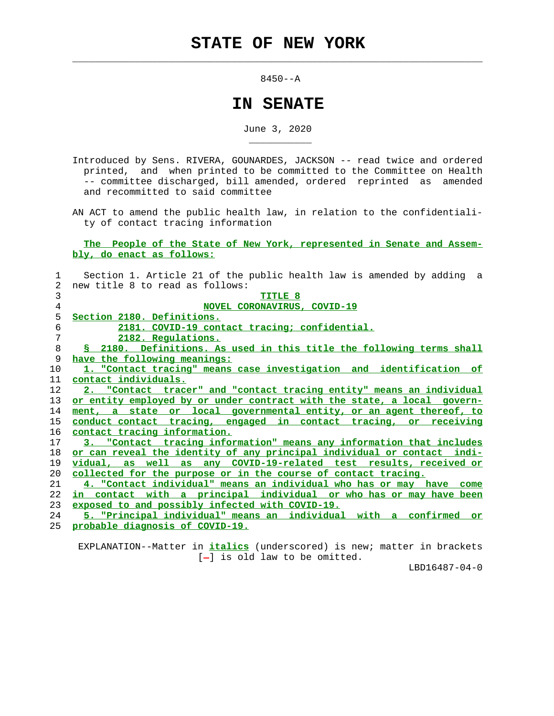$\mathcal{L}_\text{max} = \frac{1}{2} \sum_{i=1}^{n} \frac{1}{2} \sum_{i=1}^{n} \frac{1}{2} \sum_{i=1}^{n} \frac{1}{2} \sum_{i=1}^{n} \frac{1}{2} \sum_{i=1}^{n} \frac{1}{2} \sum_{i=1}^{n} \frac{1}{2} \sum_{i=1}^{n} \frac{1}{2} \sum_{i=1}^{n} \frac{1}{2} \sum_{i=1}^{n} \frac{1}{2} \sum_{i=1}^{n} \frac{1}{2} \sum_{i=1}^{n} \frac{1}{2} \sum_{i=1}^{n} \frac{1$ 

\_\_\_\_\_\_\_\_\_\_\_

8450--A

## **IN SENATE**

June 3, 2020

 Introduced by Sens. RIVERA, GOUNARDES, JACKSON -- read twice and ordered printed, and when printed to be committed to the Committee on Health -- committee discharged, bill amended, ordered reprinted as amended and recommitted to said committee

 AN ACT to amend the public health law, in relation to the confidentiali ty of contact tracing information

## **The People of the State of New York, represented in Senate and Assem bly, do enact as follows:**

| 1              | Section 1. Article 21 of the public health law is amended by adding a   |
|----------------|-------------------------------------------------------------------------|
| $\overline{2}$ | new title 8 to read as follows:                                         |
| 3              | TITLE 8                                                                 |
| 4              | NOVEL CORONAVIRUS, COVID-19                                             |
| 5              | Section 2180. Definitions.                                              |
| 6              | 2181. COVID-19 contact tracing; confidential.                           |
| 7              | 2182. Regulations.                                                      |
| 8              | § 2180. Definitions. As used in this title the following terms shall    |
| 9              | have the following meanings:                                            |
| 10             | 1. "Contact tracing" means case investigation and identification of     |
| 11             | contact individuals.                                                    |
| 12             | 2. "Contact tracer" and "contact tracing entity" means an individual    |
| 13             | or entity employed by or under contract with the state, a local govern- |
| 14             | ment, a state or local governmental entity, or an agent thereof, to     |
| 15             | conduct contact tracing, engaged in contact tracing, or receiving       |
| 16             | contact tracing information.                                            |
| 17             | 3. "Contact tracing information" means any information that includes    |
| 18             | or can reveal the identity of any principal individual or contact indi- |
| 19             | vidual, as well as any COVID-19-related test results, received or       |
| 20             | collected for the purpose or in the course of contact tracing.          |
| 21             | 4. "Contact individual" means an individual who has or may have come    |
| 22             | in contact with a principal individual or who has or may have been      |
| 23             | exposed to and possibly infected with COVID-19.                         |
| 24             | 5. "Principal individual" means an individual with a confirmed or       |
| 25             | probable diagnosis of COVID-19.                                         |
|                |                                                                         |

 EXPLANATION--Matter in **italics** (underscored) is new; matter in brackets [-] is old law to be omitted.

LBD16487-04-0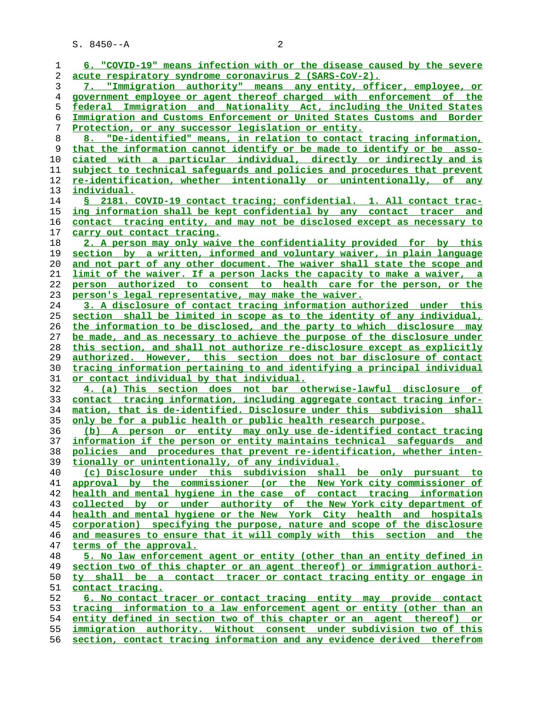S. 8450--A 2

| 1              | 6. "COVID-19" means infection with or the disease caused by the severe                                                                     |
|----------------|--------------------------------------------------------------------------------------------------------------------------------------------|
| 2              | acute respiratory syndrome coronavirus 2 (SARS-CoV-2).                                                                                     |
| 3              | 7. "Immigration authority" means any entity, officer, employee, or                                                                         |
| $\overline{4}$ | government employee or agent thereof charged with enforcement of the                                                                       |
| 5              | federal Immigration and Nationality Act, including the United States                                                                       |
| 6              | Immigration and Customs Enforcement or United States Customs and Border                                                                    |
| 7              | Protection, or any successor legislation or entity.                                                                                        |
| 8              | 8. "De-identified" means, in relation to contact tracing information,                                                                      |
| 9              | that the information cannot identify or be made to identify or be asso-                                                                    |
| 10             | ciated with a particular individual, directly or indirectly and is                                                                         |
| 11             | subject to technical safeguards and policies and procedures that prevent                                                                   |
| 12             | re-identification, whether intentionally or unintentionally, of any                                                                        |
| 13             | <u>individual.</u>                                                                                                                         |
| 14             | S 2181. COVID-19 contact tracing; confidential. 1. All contact trac-                                                                       |
| 15             | ing information shall be kept confidential by any contact tracer and                                                                       |
| 16             | contact tracing entity, and may not be disclosed except as necessary to                                                                    |
| 17             | <u>carry out contact tracing.</u>                                                                                                          |
| 18             | 2. A person may only waive the confidentiality provided for by this                                                                        |
| 19             | section by a written, informed and voluntary waiver, in plain language                                                                     |
| 20             | and not part of any other document. The waiver shall state the scope and                                                                   |
| 21             | limit of the waiver. If a person lacks the capacity to make a waiver, a                                                                    |
| 22             | person authorized to consent to health care for the person, or the                                                                         |
| 23             | person's legal representative, may make the waiver.                                                                                        |
| 24             | 3. A disclosure of contact tracing information authorized under this                                                                       |
| 25             | section shall be limited in scope as to the identity of any individual,                                                                    |
| 26             | the information to be disclosed, and the party to which disclosure may                                                                     |
| 27             | be made, and as necessary to achieve the purpose of the disclosure under                                                                   |
| 28             | this section, and shall not authorize re-disclosure except as explicitly                                                                   |
| 29             | <u>authorized. However, this section does not bar disclosure of contact</u>                                                                |
| 30             | tracing information pertaining to and identifying a principal individual                                                                   |
| 31             | <u>or contact individual by that individual.</u>                                                                                           |
| 32             | 4. (a) This section does not bar otherwise-lawful disclosure of                                                                            |
| 33             | contact tracing information, including aggregate contact tracing infor-                                                                    |
| 34             | mation, that is de-identified. Disclosure under this subdivision<br>shall                                                                  |
| 35             | <u>only be for a public health or public health research purpose.</u>                                                                      |
| 36             | (b) A person or entity may only use de-identified contact tracing                                                                          |
| 37             | information if the person or entity maintains technical safequards and                                                                     |
| 38             | policies and procedures that prevent re-identification, whether inten-                                                                     |
| 39             | tionally or unintentionally, of any individual.                                                                                            |
| 40             | (c) Disclosure under this subdivision shall be only pursuant to                                                                            |
| 41             | approval by the commissioner (or the New York city commissioner of<br>health and mental hygiene in the case of contact tracing information |
| 42<br>43       | collected by or under authority of the New York city department of                                                                         |
| 44             | health and mental hygiene or the New York City health and hospitals                                                                        |
| 45             | corporation) specifying the purpose, nature and scope of the disclosure                                                                    |
| 46             | and measures to ensure that it will comply with this section and the                                                                       |
| 47             | terms of the approval.                                                                                                                     |
| 48             | 5. No law enforcement agent or entity (other than an entity defined in                                                                     |
| 49             | section two of this chapter or an agent thereof) or immigration authori-                                                                   |
| 50             | ty shall be a contact tracer or contact tracing entity or engage in                                                                        |
| 51             | <u>contact tracing.</u>                                                                                                                    |
| 52             | 6. No contact tracer or contact tracing entity may provide contact                                                                         |
| 53             | tracing information to a law enforcement agent or entity (other than an                                                                    |
| 54             | entity defined in section two of this chapter or an agent thereof) or                                                                      |
| 55             | immigration authority. Without consent under subdivision two of this                                                                       |
| 56             | section, contact tracing information and any evidence derived therefrom                                                                    |
|                |                                                                                                                                            |